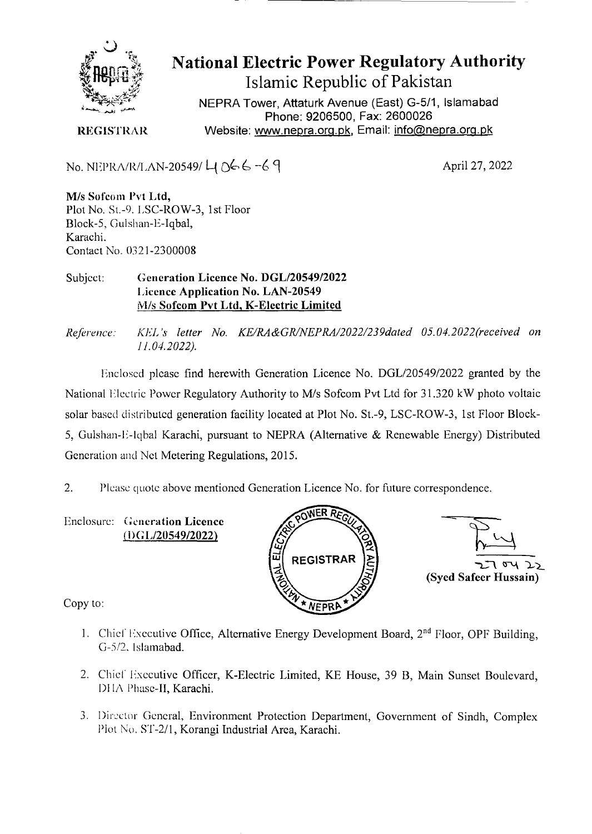

**National Electric Power Regulatory Authority Islamic Republic of Pakistan** 

NEPRA Tower, Attaturk Avenue (East) G-511, **Islamabad Phone: 9206500, Fax: 2600026**  Website: www.nepra.org.pk, Email: info@nepra.org.pk

**REGISTRAR** 

 $\rm No. \, NEPRA/R/LAN-20549/ \, L1 \, N66-3$ 

MIs Sofeom **P't Ltd,**  Plot No. St.-9. LSC-ROW-3, 1st Floor Block-5, Gulshan-E-Iqba1, Karachi. Contact No. 0321-2300008

Subject: **Generation Licence No.** *DGL12054912022*  **Licence Application No. LAN-20549**  *MIs* **Sofcom Pvt Ltd.** K**-Electric Limited** 

*Reference.' KEL 's letter No. KE/RA&GR/NEPRA/2022/239da1ed 05. 04.2022('received on 11.04.2022).* 

lnclosed please find herewith Generation Licence No. DGL/20549/2022 granted by the National Electric Power Regulatory Authority to M/s Sofcom Pvt Ltd for 31.320 kW photo voltaic solar based distributed generation facility located at Plot No. St.-9, LSC-ROW-3, 1st Floor Block-*5,* Guishan-E-lqbal Karachi, pursuant to NEPRA (Alternative & Renewable Energy) Distributed Generation and Net Metering Regulations, 2015.

2. Please quote above mentioned Generation Licence No. for future correspondence.

Enclosure: **Generation Licence (DG1120549/2022)** 





Copy to:

- 1. Chief Executive Office, Alternative Energy Development Board, 2<sup>nd</sup> Floor, OPF Building, G-5/2. Islamabad.
- 2. Chief Executive Officer, K-Electric Limited, KE House, 39 B, Main Sunset Boulevard, Dl *IA* Phase-Il, Karachi.
- 3. Director General, Environment Protection Department, Government of Sindh, Complex Plot No. ST-2/1, Korangi Industrial Area, Karachi.